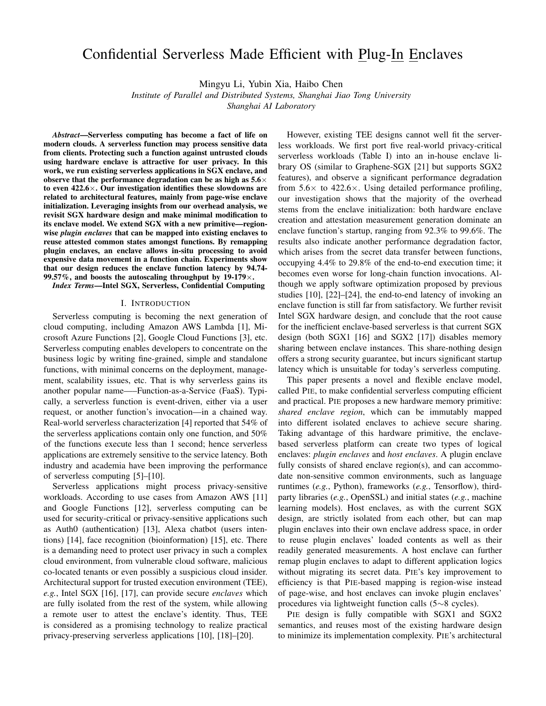# Confidential Serverless Made Efficient with Plug-In Enclaves

Mingyu Li, Yubin Xia, Haibo Chen

*Institute of Parallel and Distributed Systems, Shanghai Jiao Tong University*

*Shanghai AI Laboratory*

*Abstract*—Serverless computing has become a fact of life on modern clouds. A serverless function may process sensitive data from clients. Protecting such a function against untrusted clouds using hardware enclave is attractive for user privacy. In this work, we run existing serverless applications in SGX enclave, and observe that the performance degradation can be as high as  $5.6\times$ to even  $422.6 \times$ . Our investigation identifies these slowdowns are related to architectural features, mainly from page-wise enclave initialization. Leveraging insights from our overhead analysis, we revisit SGX hardware design and make minimal modification to its enclave model. We extend SGX with a new primitive—regionwise *plugin enclaves* that can be mapped into existing enclaves to reuse attested common states amongst functions. By remapping plugin enclaves, an enclave allows in-situ processing to avoid expensive data movement in a function chain. Experiments show that our design reduces the enclave function latency by 94.74- 99.57%, and boosts the autoscaling throughput by  $19-179\times$ .

*Index Terms*—Intel SGX, Serverless, Confidential Computing

#### I. INTRODUCTION

Serverless computing is becoming the next generation of cloud computing, including Amazon AWS Lambda [\[1\]](#page-11-0), Microsoft Azure Functions [\[2\]](#page-11-1), Google Cloud Functions [\[3\]](#page-11-2), etc. Serverless computing enables developers to concentrate on the business logic by writing fine-grained, simple and standalone functions, with minimal concerns on the deployment, management, scalability issues, etc. That is why serverless gains its another popular name—–Function-as-a-Service (FaaS). Typically, a serverless function is event-driven, either via a user request, or another function's invocation—in a chained way. Real-world serverless characterization [\[4\]](#page-11-3) reported that 54% of the serverless applications contain only one function, and 50% of the functions execute less than 1 second; hence serverless applications are extremely sensitive to the service latency. Both industry and academia have been improving the performance of serverless computing [\[5\]](#page-11-4)–[\[10\]](#page-12-0).

Serverless applications might process privacy-sensitive workloads. According to use cases from Amazon AWS [\[11\]](#page-12-1) and Google Functions [\[12\]](#page-12-2), serverless computing can be used for security-critical or privacy-sensitive applications such as Auth0 (authentication) [\[13\]](#page-12-3), Alexa chatbot (users intentions) [\[14\]](#page-12-4), face recognition (bioinformation) [\[15\]](#page-12-5), etc. There is a demanding need to protect user privacy in such a complex cloud environment, from vulnerable cloud software, malicious co-located tenants or even possibly a suspicious cloud insider. Architectural support for trusted execution environment (TEE), *e.g.*, Intel SGX [\[16\]](#page-12-6), [\[17\]](#page-12-7), can provide secure *enclaves* which are fully isolated from the rest of the system, while allowing a remote user to attest the enclave's identity. Thus, TEE is considered as a promising technology to realize practical privacy-preserving serverless applications [\[10\]](#page-12-0), [\[18\]](#page-12-8)–[\[20\]](#page-12-9).

However, existing TEE designs cannot well fit the serverless workloads. We first port five real-world privacy-critical serverless workloads [\(Table I\)](#page-2-0) into an in-house enclave library OS (similar to Graphene-SGX [\[21\]](#page-12-10) but supports SGX2 features), and observe a significant performance degradation from  $5.6\times$  to  $422.6\times$ . Using detailed performance profiling, our investigation shows that the majority of the overhead stems from the enclave initialization: both hardware enclave creation and attestation measurement generation dominate an enclave function's startup, ranging from 92.3% to 99.6%. The results also indicate another performance degradation factor, which arises from the secret data transfer between functions, occupying 4.4% to 29.8% of the end-to-end execution time; it becomes even worse for long-chain function invocations. Although we apply software optimization proposed by previous studies [\[10\]](#page-12-0), [\[22\]](#page-12-11)–[\[24\]](#page-12-12), the end-to-end latency of invoking an enclave function is still far from satisfactory. We further revisit Intel SGX hardware design, and conclude that the root cause for the inefficient enclave-based serverless is that current SGX design (both SGX1 [\[16\]](#page-12-6) and SGX2 [\[17\]](#page-12-7)) disables memory sharing between enclave instances. This share-nothing design offers a strong security guarantee, but incurs significant startup latency which is unsuitable for today's serverless computing.

This paper presents a novel and flexible enclave model, called PIE, to make confidential serverless computing efficient and practical. PIE proposes a new hardware memory primitive: *shared enclave region*, which can be immutably mapped into different isolated enclaves to achieve secure sharing. Taking advantage of this hardware primitive, the enclavebased serverless platform can create two types of logical enclaves: *plugin enclaves* and *host enclaves*. A plugin enclave fully consists of shared enclave region(s), and can accommodate non-sensitive common environments, such as language runtimes (*e.g.*, Python), frameworks (*e.g.*, Tensorflow), thirdparty libraries (*e.g.*, OpenSSL) and initial states (*e.g.*, machine learning models). Host enclaves, as with the current SGX design, are strictly isolated from each other, but can map plugin enclaves into their own enclave address space, in order to reuse plugin enclaves' loaded contents as well as their readily generated measurements. A host enclave can further remap plugin enclaves to adapt to different application logics without migrating its secret data. PIE's key improvement to efficiency is that PIE-based mapping is region-wise instead of page-wise, and host enclaves can invoke plugin enclaves' procedures via lightweight function calls (5∼8 cycles).

PIE design is fully compatible with SGX1 and SGX2 semantics, and reuses most of the existing hardware design to minimize its implementation complexity. PIE's architectural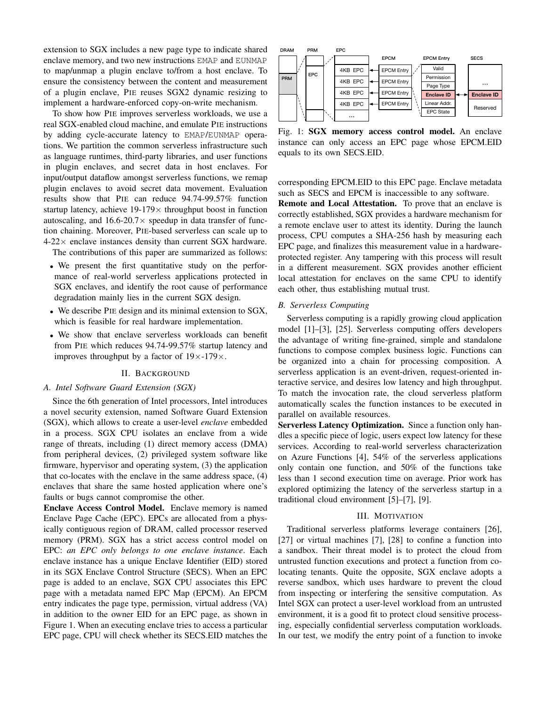extension to SGX includes a new page type to indicate shared enclave memory, and two new instructions EMAP and EUNMAP to map/unmap a plugin enclave to/from a host enclave. To ensure the consistency between the content and measurement of a plugin enclave, PIE reuses SGX2 dynamic resizing to implement a hardware-enforced copy-on-write mechanism.

To show how PIE improves serverless workloads, we use a real SGX-enabled cloud machine, and emulate PIE instructions by adding cycle-accurate latency to EMAP/EUNMAP operations. We partition the common serverless infrastructure such as language runtimes, third-party libraries, and user functions in plugin enclaves, and secret data in host enclaves. For input/output dataflow amongst serverless functions, we remap plugin enclaves to avoid secret data movement. Evaluation results show that PIE can reduce 94.74-99.57% function startup latency, achieve  $19-179\times$  throughput boost in function autoscaling, and  $16.6-20.7\times$  speedup in data transfer of function chaining. Moreover, PIE-based serverless can scale up to  $4-22\times$  enclave instances density than current SGX hardware.

The contributions of this paper are summarized as follows:

- We present the first quantitative study on the performance of real-world serverless applications protected in SGX enclaves, and identify the root cause of performance degradation mainly lies in the current SGX design.
- We describe PIE design and its minimal extension to SGX, which is feasible for real hardware implementation.
- We show that enclave serverless workloads can benefit from PIE which reduces 94.74-99.57% startup latency and improves throughput by a factor of  $19\times$ -179 $\times$ .

#### II. BACKGROUND

## <span id="page-1-1"></span>*A. Intel Software Guard Extension (SGX)*

Since the 6th generation of Intel processors, Intel introduces a novel security extension, named Software Guard Extension (SGX), which allows to create a user-level *enclave* embedded in a process. SGX CPU isolates an enclave from a wide range of threats, including (1) direct memory access (DMA) from peripheral devices, (2) privileged system software like firmware, hypervisor and operating system, (3) the application that co-locates with the enclave in the same address space, (4) enclaves that share the same hosted application where one's faults or bugs cannot compromise the other.

Enclave Access Control Model. Enclave memory is named Enclave Page Cache (EPC). EPCs are allocated from a physically contiguous region of DRAM, called processor reserved memory (PRM). SGX has a strict access control model on EPC: *an EPC only belongs to one enclave instance*. Each enclave instance has a unique Enclave Identifier (EID) stored in its SGX Enclave Control Structure (SECS). When an EPC page is added to an enclave, SGX CPU associates this EPC page with a metadata named EPC Map (EPCM). An EPCM entry indicates the page type, permission, virtual address (VA) in addition to the owner EID for an EPC page, as shown in [Figure 1.](#page-1-0) When an executing enclave tries to access a particular EPC page, CPU will check whether its SECS.EID matches the

<span id="page-1-0"></span>

Fig. 1: SGX memory access control model. An enclave instance can only access an EPC page whose EPCM.EID equals to its own SECS.EID.

corresponding EPCM.EID to this EPC page. Enclave metadata such as SECS and EPCM is inaccessible to any software.

Remote and Local Attestation. To prove that an enclave is correctly established, SGX provides a hardware mechanism for a remote enclave user to attest its identity. During the launch process, CPU computes a SHA-256 hash by measuring each EPC page, and finalizes this measurement value in a hardwareprotected register. Any tampering with this process will result in a different measurement. SGX provides another efficient local attestation for enclaves on the same CPU to identify each other, thus establishing mutual trust.

## *B. Serverless Computing*

Serverless computing is a rapidly growing cloud application model [\[1\]](#page-11-0)–[\[3\]](#page-11-2), [\[25\]](#page-12-13). Serverless computing offers developers the advantage of writing fine-grained, simple and standalone functions to compose complex business logic. Functions can be organized into a chain for processing composition. A serverless application is an event-driven, request-oriented interactive service, and desires low latency and high throughput. To match the invocation rate, the cloud serverless platform automatically scales the function instances to be executed in parallel on available resources.

Serverless Latency Optimization. Since a function only handles a specific piece of logic, users expect low latency for these services. According to real-world serverless characterization on Azure Functions [\[4\]](#page-11-3), 54% of the serverless applications only contain one function, and 50% of the functions take less than 1 second execution time on average. Prior work has explored optimizing the latency of the serverless startup in a traditional cloud environment [\[5\]](#page-11-4)–[\[7\]](#page-12-14), [\[9\]](#page-12-15).

#### III. MOTIVATION

<span id="page-1-2"></span>Traditional serverless platforms leverage containers [\[26\]](#page-12-16), [\[27\]](#page-12-17) or virtual machines [\[7\]](#page-12-14), [\[28\]](#page-12-18) to confine a function into a sandbox. Their threat model is to protect the cloud from untrusted function executions and protect a function from colocating tenants. Quite the opposite, SGX enclave adopts a reverse sandbox, which uses hardware to prevent the cloud from inspecting or interfering the sensitive computation. As Intel SGX can protect a user-level workload from an untrusted environment, it is a good fit to protect cloud sensitive processing, especially confidential serverless computation workloads. In our test, we modify the entry point of a function to invoke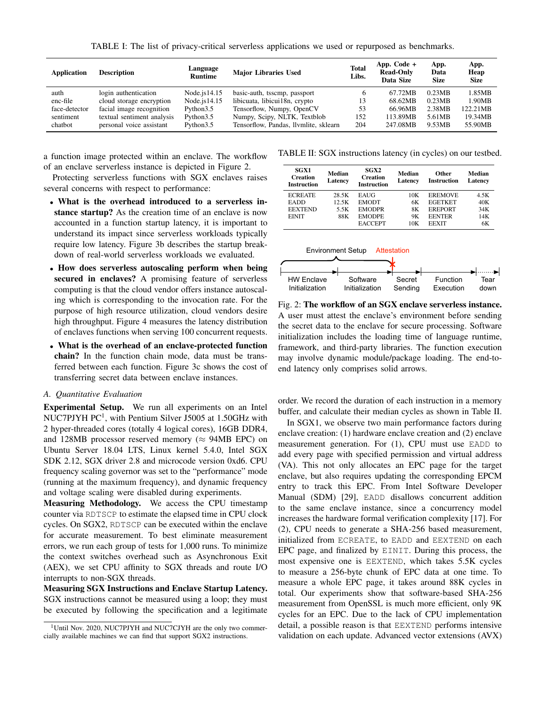TABLE I: The list of privacy-critical serverless applications we used or repurposed as benchmarks.

<span id="page-2-0"></span>

| <b>Application</b> | <b>Description</b>         | Language<br><b>Runtime</b> | <b>Major Libraries Used</b>           | <b>Total</b><br>Libs. | App. Code $+$<br><b>Read-Only</b><br>Data Size | App.<br>Data<br><b>Size</b> | App.<br>Heap<br><b>Size</b> |
|--------------------|----------------------------|----------------------------|---------------------------------------|-----------------------|------------------------------------------------|-----------------------------|-----------------------------|
| auth               | login authentication       | Node.js $14.15$            | basic-auth, tsscmp, passport          |                       | 67.72MB                                        | 0.23MB                      | 1.85MB                      |
| enc-file           | cloud storage encryption   | Node. $is 14.15$           | libicuata, libicui18n, crypto         | 13                    | 68.62MB                                        | 0.23MB                      | 1.90MB                      |
| face-detector      | facial image recognition   | Python3.5                  | Tensorflow, Numpy, OpenCV             | 53                    | 66.96MB                                        | 2.38MB                      | 122.21MB                    |
| sentiment          | textual sentiment analysis | Python3.5                  | Numpy, Scipy, NLTK, Textblob          | 152                   | 113.89MB                                       | 5.61MB                      | 19.34MB                     |
| chatbot            | personal voice assistant   | Python3.5                  | Tensorflow, Pandas, Ilymlite, sklearn | 204                   | 247.08MB                                       | 9.53MB                      | 55.90MB                     |

a function image protected within an enclave. The workflow of an enclave serverless instance is depicted in [Figure 2.](#page-2-1)

Protecting serverless functions with SGX enclaves raises several concerns with respect to performance:

- What is the overhead introduced to a serverless instance startup? As the creation time of an enclave is now accounted in a function startup latency, it is important to understand its impact since serverless workloads typically require low latency. [Figure 3b](#page-3-0) describes the startup breakdown of real-world serverless workloads we evaluated.
- How does serverless autoscaling perform when being secured in enclaves? A promising feature of serverless computing is that the cloud vendor offers instance autoscaling which is corresponding to the invocation rate. For the purpose of high resource utilization, cloud vendors desire high throughput. [Figure 4](#page-3-1) measures the latency distribution of enclaves functions when serving 100 concurrent requests.
- What is the overhead of an enclave-protected function chain? In the function chain mode, data must be transferred between each function. [Figure 3c](#page-3-0) shows the cost of transferring secret data between enclave instances.

## *A. Quantitative Evaluation*

Experimental Setup. We run all experiments on an Intel NUC7PJYH PC<sup>[1](#page-2-2)</sup>, with Pentium Silver J5005 at 1.50GHz with 2 hyper-threaded cores (totally 4 logical cores), 16GB DDR4, and 128MB processor reserved memory ( $\approx$  94MB EPC) on Ubuntu Server 18.04 LTS, Linux kernel 5.4.0, Intel SGX SDK 2.12, SGX driver 2.8 and microcode version 0xd6. CPU frequency scaling governor was set to the "performance" mode (running at the maximum frequency), and dynamic frequency and voltage scaling were disabled during experiments.

Measuring Methodology. We access the CPU timestamp counter via RDTSCP to estimate the elapsed time in CPU clock cycles. On SGX2, RDTSCP can be executed within the enclave for accurate measurement. To best eliminate measurement errors, we run each group of tests for 1,000 runs. To minimize the context switches overhead such as Asynchronous Exit (AEX), we set CPU affinity to SGX threads and route I/O interrupts to non-SGX threads.

Measuring SGX Instructions and Enclave Startup Latency. SGX instructions cannot be measured using a loop; they must be executed by following the specification and a legitimate

<span id="page-2-3"></span>TABLE II: SGX instructions latency (in cycles) on our testbed.

| <b>SGX1</b><br><b>Creation</b><br><b>Instruction</b> | Median<br>Latency | SGX2<br><b>Creation</b><br><b>Instruction</b> | Median<br>Latency | Other<br><b>Instruction</b> | Median<br>Latency |
|------------------------------------------------------|-------------------|-----------------------------------------------|-------------------|-----------------------------|-------------------|
| <b>ECREATE</b>                                       | 28.5K             | <b>EAUG</b>                                   | 10K               | <b>EREMOVE</b>              | 4.5K              |
| <b>EADD</b>                                          | 12.5K             | <b>EMODT</b>                                  | 6K                | <b>EGETKET</b>              | 40K               |
| <b>EEXTEND</b>                                       | 5.5K              | <b>EMODPR</b>                                 | 8K                | <b>EREPORT</b>              | 34K               |
| <b>EINIT</b>                                         | 88K               | <b>EMODPE</b>                                 | 9Κ                | <b>EENTER</b>               | 14K               |
|                                                      |                   | <b>EACCEPT</b>                                | 10K               | <b>EEXIT</b>                | 6K                |

<span id="page-2-1"></span>

Fig. 2: The workflow of an SGX enclave serverless instance. A user must attest the enclave's environment before sending the secret data to the enclave for secure processing. Software initialization includes the loading time of language runtime, framework, and third-party libraries. The function execution may involve dynamic module/package loading. The end-toend latency only comprises solid arrows.

order. We record the duration of each instruction in a memory buffer, and calculate their median cycles as shown in [Table II.](#page-2-3)

In SGX1, we observe two main performance factors during enclave creation: (1) hardware enclave creation and (2) enclave measurement generation. For (1), CPU must use EADD to add every page with specified permission and virtual address (VA). This not only allocates an EPC page for the target enclave, but also requires updating the corresponding EPCM entry to track this EPC. From Intel Software Developer Manual (SDM) [\[29\]](#page-12-19), EADD disallows concurrent addition to the same enclave instance, since a concurrency model increases the hardware formal verification complexity [\[17\]](#page-12-7). For (2), CPU needs to generate a SHA-256 based measurement, initialized from ECREATE, to EADD and EEXTEND on each EPC page, and finalized by EINIT. During this process, the most expensive one is EEXTEND, which takes 5.5K cycles to measure a 256-byte chunk of EPC data at one time. To measure a whole EPC page, it takes around 88K cycles in total. Our experiments show that software-based SHA-256 measurement from OpenSSL is much more efficient, only 9K cycles for an EPC. Due to the lack of CPU implementation detail, a possible reason is that EEXTEND performs intensive validation on each update. Advanced vector extensions (AVX)

<span id="page-2-2"></span><sup>&</sup>lt;sup>1</sup>Until Nov. 2020, NUC7PJYH and NUC7CJYH are the only two commercially available machines we can find that support SGX2 instructions.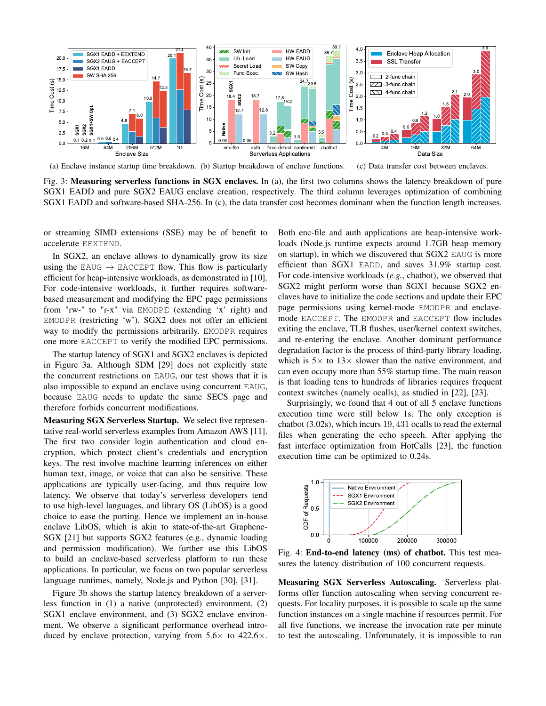<span id="page-3-0"></span>

(a) Enclave instance startup time breakdown. (b) Startup breakdown of enclave functions. (c) Data transfer cost between enclaves.

Fig. 3: **Measuring serverless functions in SGX enclaves.** In (a), the first two columns shows the latency breakdown of pure SGX1 EADD and pure SGX2 EAUG enclave creation, respectively. The third column leverages optimization of combining SGX1 EADD and software-based SHA-256. In (c), the data transfer cost becomes dominant when the function length increases.

or streaming SIMD extensions (SSE) may be of benefit to accelerate EEXTEND.

In SGX2, an enclave allows to dynamically grow its size using the EAUG  $\rightarrow$  EACCEPT flow. This flow is particularly efficient for heap-intensive workloads, as demonstrated in [\[10\]](#page-12-0). For code-intensive workloads, it further requires softwarebased measurement and modifying the EPC page permissions from "rw-" to "r-x" via EMODPE (extending 'x' right) and EMODPR (restricting 'w'). SGX2 does not offer an efficient way to modify the permissions arbitrarily. EMODPR requires one more EACCEPT to verify the modified EPC permissions.

The startup latency of SGX1 and SGX2 enclaves is depicted in [Figure 3a.](#page-3-0) Although SDM [\[29\]](#page-12-19) does not explicitly state the concurrent restrictions on EAUG, our test shows that it is also impossible to expand an enclave using concurrent EAUG, because EAUG needs to update the same SECS page and therefore forbids concurrent modifications.

Measuring SGX Serverless Startup. We select five representative real-world serverless examples from Amazon AWS [\[11\]](#page-12-1). The first two consider login authentication and cloud encryption, which protect client's credentials and encryption keys. The rest involve machine learning inferences on either human text, image, or voice that can also be sensitive. These applications are typically user-facing, and thus require low latency. We observe that today's serverless developers tend to use high-level languages, and library OS (LibOS) is a good choice to ease the porting. Hence we implement an in-house enclave LibOS, which is akin to state-of-the-art Graphene-SGX [\[21\]](#page-12-10) but supports SGX2 features (e.g., dynamic loading and permission modification). We further use this LibOS to build an enclave-based serverless platform to run these applications. In particular, we focus on two popular serverless language runtimes, namely, Node.js and Python [\[30\]](#page-12-20), [\[31\]](#page-12-21).

[Figure 3b](#page-3-0) shows the startup latency breakdown of a serverless function in (1) a native (unprotected) environment, (2) SGX1 enclave environment, and (3) SGX2 enclave environment. We observe a significant performance overhead introduced by enclave protection, varying from  $5.6\times$  to  $422.6\times$ . Both enc-file and auth applications are heap-intensive workloads (Node.js runtime expects around 1.7GB heap memory on startup), in which we discovered that SGX2 EAUG is more efficient than SGX1 EADD, and saves 31.9% startup cost. For code-intensive workloads (*e.g.*, chatbot), we observed that SGX2 might perform worse than SGX1 because SGX2 enclaves have to initialize the code sections and update their EPC page permissions using kernel-mode EMODPR and enclavemode EACCEPT. The EMODPR and EACCEPT flow includes exiting the enclave, TLB flushes, user/kernel context switches, and re-entering the enclave. Another dominant performance degradation factor is the process of third-party library loading, which is  $5 \times$  to  $13 \times$  slower than the native environment, and can even occupy more than 55% startup time. The main reason is that loading tens to hundreds of libraries requires frequent context switches (namely ocalls), as studied in [\[22\]](#page-12-11), [\[23\]](#page-12-22).

Surprisingly, we found that 4 out of all 5 enclave functions execution time were still below 1s. The only exception is chatbot (3.02s), which incurs 19, 431 ocalls to read the external files when generating the echo speech. After applying the fast interface optimization from HotCalls [\[23\]](#page-12-22), the function execution time can be optimized to 0.24s.

<span id="page-3-1"></span>

Fig. 4: End-to-end latency (ms) of chatbot. This test measures the latency distribution of 100 concurrent requests.

Measuring SGX Serverless Autoscaling. Serverless platforms offer function autoscaling when serving concurrent requests. For locality purposes, it is possible to scale up the same function instances on a single machine if resources permit. For all five functions, we increase the invocation rate per minute to test the autoscaling. Unfortunately, it is impossible to run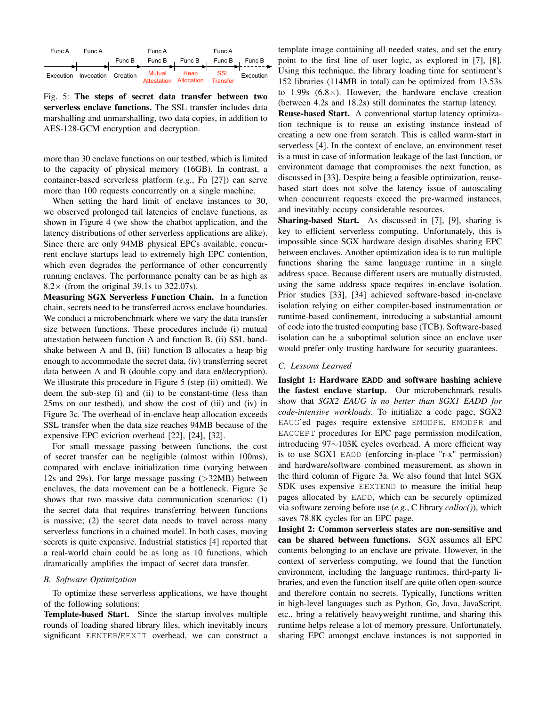<span id="page-4-0"></span>

Fig. 5: The steps of secret data transfer between two serverless enclave functions. The SSL transfer includes data marshalling and unmarshalling, two data copies, in addition to AES-128-GCM encryption and decryption.

more than 30 enclave functions on our testbed, which is limited to the capacity of physical memory (16GB). In contrast, a container-based serverless platform (*e.g.*, Fn [\[27\]](#page-12-17)) can serve more than 100 requests concurrently on a single machine.

When setting the hard limit of enclave instances to 30, we observed prolonged tail latencies of enclave functions, as shown in [Figure 4](#page-3-1) (we show the chatbot application, and the latency distributions of other serverless applications are alike). Since there are only 94MB physical EPCs available, concurrent enclave startups lead to extremely high EPC contention, which even degrades the performance of other concurrently running enclaves. The performance penalty can be as high as  $8.2 \times$  (from the original 39.1s to 322.07s).

Measuring SGX Serverless Function Chain. In a function chain, secrets need to be transferred across enclave boundaries. We conduct a microbenchmark where we vary the data transfer size between functions. These procedures include (i) mutual attestation between function A and function B, (ii) SSL handshake between A and B, (iii) function B allocates a heap big enough to accommodate the secret data, (iv) transferring secret data between A and B (double copy and data en/decryption). We illustrate this procedure in [Figure 5](#page-4-0) (step (ii) omitted). We deem the sub-step (i) and (ii) to be constant-time (less than 25ms on our testbed), and show the cost of (iii) and (iv) in [Figure 3c.](#page-3-0) The overhead of in-enclave heap allocation exceeds SSL transfer when the data size reaches 94MB because of the expensive EPC eviction overhead [\[22\]](#page-12-11), [\[24\]](#page-12-12), [\[32\]](#page-12-23).

For small message passing between functions, the cost of secret transfer can be negligible (almost within 100ms), compared with enclave initialization time (varying between 12s and 29s). For large message passing (>32MB) between enclaves, the data movement can be a bottleneck. [Figure 3c](#page-3-0) shows that two massive data communication scenarios: (1) the secret data that requires transferring between functions is massive; (2) the secret data needs to travel across many serverless functions in a chained model. In both cases, moving secrets is quite expensive. Industrial statistics [\[4\]](#page-11-3) reported that a real-world chain could be as long as 10 functions, which dramatically amplifies the impact of secret data transfer.

#### <span id="page-4-1"></span>*B. Software Optimization*

To optimize these serverless applications, we have thought of the following solutions:

Template-based Start. Since the startup involves multiple rounds of loading shared library files, which inevitably incurs significant EENTER/EEXIT overhead, we can construct a template image containing all needed states, and set the entry point to the first line of user logic, as explored in [\[7\]](#page-12-14), [\[8\]](#page-12-24). Using this technique, the library loading time for sentiment's 152 libraries (114MB in total) can be optimized from 13.53s to  $1.99s$   $(6.8\times)$ . However, the hardware enclave creation (between 4.2s and 18.2s) still dominates the startup latency.

Reuse-based Start. A conventional startup latency optimization technique is to reuse an existing instance instead of creating a new one from scratch. This is called warm-start in serverless [\[4\]](#page-11-3). In the context of enclave, an environment reset is a must in case of information leakage of the last function, or environment damage that compromises the next function, as discussed in [\[33\]](#page-12-25). Despite being a feasible optimization, reusebased start does not solve the latency issue of autoscaling when concurrent requests exceed the pre-warmed instances, and inevitably occupy considerable resources.

Sharing-based Start. As discussed in [\[7\]](#page-12-14), [\[9\]](#page-12-15), sharing is key to efficient serverless computing. Unfortunately, this is impossible since SGX hardware design disables sharing EPC between enclaves. Another optimization idea is to run multiple functions sharing the same language runtime in a single address space. Because different users are mutually distrusted, using the same address space requires in-enclave isolation. Prior studies [\[33\]](#page-12-25), [\[34\]](#page-12-26) achieved software-based in-enclave isolation relying on either compiler-based instrumentation or runtime-based confinement, introducing a substantial amount of code into the trusted computing base (TCB). Software-based isolation can be a suboptimal solution since an enclave user would prefer only trusting hardware for security guarantees.

## *C. Lessons Learned*

Insight 1: Hardware **EADD** and software hashing achieve the fastest enclave startup. Our microbenchmark results show that *SGX2 EAUG is no better than SGX1 EADD for code-intensive workloads*. To initialize a code page, SGX2 EAUG'ed pages require extensive EMODPE, EMODPR and EACCEPT procedures for EPC page permission modifcation, introducing 97∼103K cycles overhead. A more efficient way is to use SGX1 EADD (enforcing in-place "r-x" permission) and hardware/software combined measurement, as shown in the third column of [Figure 3a.](#page-3-0) We also found that Intel SGX SDK uses expensive EEXTEND to measure the initial heap pages allocated by EADD, which can be securely optimized via software zeroing before use (*e.g.*, C library *calloc()*), which saves 78.8K cycles for an EPC page.

Insight 2: Common serverless states are non-sensitive and can be shared between functions. SGX assumes all EPC contents belonging to an enclave are private. However, in the context of serverless computing, we found that the function environment, including the language runtimes, third-party libraries, and even the function itself are quite often open-source and therefore contain no secrets. Typically, functions written in high-level languages such as Python, Go, Java, JavaScript, etc., bring a relatively heavyweight runtime, and sharing this runtime helps release a lot of memory pressure. Unfortunately, sharing EPC amongst enclave instances is not supported in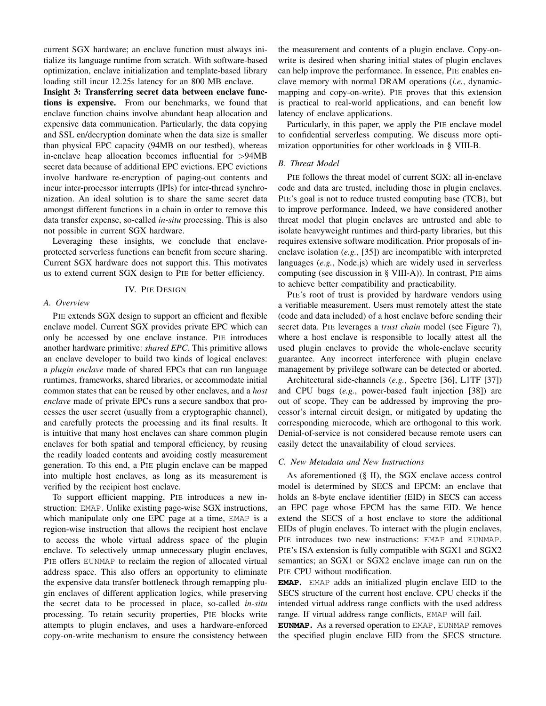current SGX hardware; an enclave function must always initialize its language runtime from scratch. With software-based optimization, enclave initialization and template-based library loading still incur 12.25s latency for an 800 MB enclave.

Insight 3: Transferring secret data between enclave functions is expensive. From our benchmarks, we found that enclave function chains involve abundant heap allocation and expensive data communication. Particularly, the data copying and SSL en/decryption dominate when the data size is smaller than physical EPC capacity (94MB on our testbed), whereas in-enclave heap allocation becomes influential for >94MB secret data because of additional EPC evictions. EPC evictions involve hardware re-encryption of paging-out contents and incur inter-processor interrupts (IPIs) for inter-thread synchronization. An ideal solution is to share the same secret data amongst different functions in a chain in order to remove this data transfer expense, so-called *in-situ* processing. This is also not possible in current SGX hardware.

Leveraging these insights, we conclude that enclaveprotected serverless functions can benefit from secure sharing. Current SGX hardware does not support this. This motivates us to extend current SGX design to PIE for better efficiency.

## IV. PIE DESIGN

#### *A. Overview*

PIE extends SGX design to support an efficient and flexible enclave model. Current SGX provides private EPC which can only be accessed by one enclave instance. PIE introduces another hardware primitive: *shared EPC*. This primitive allows an enclave developer to build two kinds of logical enclaves: a *plugin enclave* made of shared EPCs that can run language runtimes, frameworks, shared libraries, or accommodate initial common states that can be reused by other enclaves, and a *host enclave* made of private EPCs runs a secure sandbox that processes the user secret (usually from a cryptographic channel), and carefully protects the processing and its final results. It is intuitive that many host enclaves can share common plugin enclaves for both spatial and temporal efficiency, by reusing the readily loaded contents and avoiding costly measurement generation. To this end, a PIE plugin enclave can be mapped into multiple host enclaves, as long as its measurement is verified by the recipient host enclave.

To support efficient mapping, PIE introduces a new instruction: EMAP. Unlike existing page-wise SGX instructions, which manipulate only one EPC page at a time, EMAP is a region-wise instruction that allows the recipient host enclave to access the whole virtual address space of the plugin enclave. To selectively unmap unnecessary plugin enclaves, PIE offers EUNMAP to reclaim the region of allocated virtual address space. This also offers an opportunity to eliminate the expensive data transfer bottleneck through remapping plugin enclaves of different application logics, while preserving the secret data to be processed in place, so-called *in-situ* processing. To retain security properties, PIE blocks write attempts to plugin enclaves, and uses a hardware-enforced copy-on-write mechanism to ensure the consistency between the measurement and contents of a plugin enclave. Copy-onwrite is desired when sharing initial states of plugin enclaves can help improve the performance. In essence, PIE enables enclave memory with normal DRAM operations (*i.e.*, dynamicmapping and copy-on-write). PIE proves that this extension is practical to real-world applications, and can benefit low latency of enclave applications.

Particularly, in this paper, we apply the PIE enclave model to confidential serverless computing. We discuss more optimization opportunities for other workloads in [§ VIII-B.](#page-11-5)

# *B. Threat Model*

PIE follows the threat model of current SGX: all in-enclave code and data are trusted, including those in plugin enclaves. PIE's goal is not to reduce trusted computing base (TCB), but to improve performance. Indeed, we have considered another threat model that plugin enclaves are untrusted and able to isolate heavyweight runtimes and third-party libraries, but this requires extensive software modification. Prior proposals of inenclave isolation (*e.g.*, [\[35\]](#page-12-27)) are incompatible with interpreted languages (*e.g.*, Node.js) which are widely used in serverless computing (see discussion in [§ VIII-A\)](#page-10-0)). In contrast, PIE aims to achieve better compatibility and practicability.

PIE's root of trust is provided by hardware vendors using a verifiable measurement. Users must remotely attest the state (code and data included) of a host enclave before sending their secret data. PIE leverages a *trust chain* model (see [Figure 7\)](#page-7-0), where a host enclave is responsible to locally attest all the used plugin enclaves to provide the whole-enclave security guarantee. Any incorrect interference with plugin enclave management by privilege software can be detected or aborted.

Architectural side-channels (*e.g.*, Spectre [\[36\]](#page-12-28), L1TF [\[37\]](#page-12-29)) and CPU bugs (*e.g.*, power-based fault injection [\[38\]](#page-12-30)) are out of scope. They can be addressed by improving the processor's internal circuit design, or mitigated by updating the corresponding microcode, which are orthogonal to this work. Denial-of-service is not considered because remote users can easily detect the unavailability of cloud services.

## <span id="page-5-0"></span>*C. New Metadata and New Instructions*

As aforementioned [\(§ II\)](#page-1-1), the SGX enclave access control model is determined by SECS and EPCM: an enclave that holds an 8-byte enclave identifier (EID) in SECS can access an EPC page whose EPCM has the same EID. We hence extend the SECS of a host enclave to store the additional EIDs of plugin enclaves. To interact with the plugin enclaves, PIE introduces two new instructions: EMAP and EUNMAP. PIE's ISA extension is fully compatible with SGX1 and SGX2 semantics; an SGX1 or SGX2 enclave image can run on the PIE CPU without modification.

**EMAP**. EMAP adds an initialized plugin enclave EID to the SECS structure of the current host enclave. CPU checks if the intended virtual address range conflicts with the used address range. If virtual address range conflicts, EMAP will fail.

**EUNMAP**. As a reversed operation to EMAP, EUNMAP removes the specified plugin enclave EID from the SECS structure.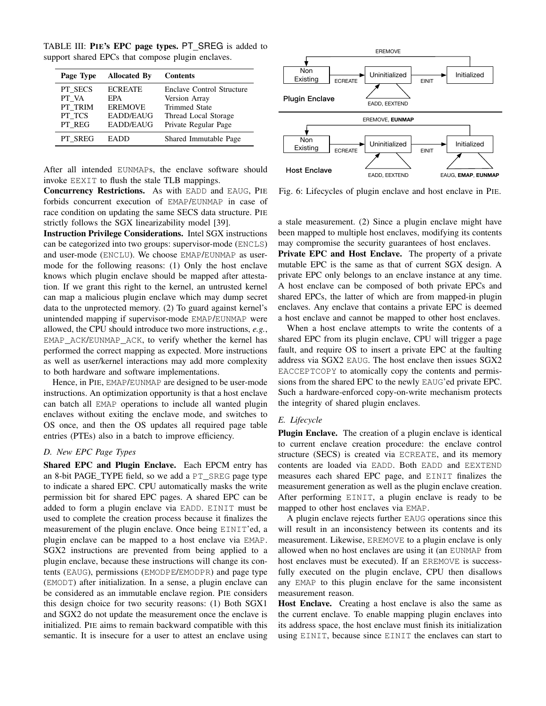TABLE III: PIE's EPC page types. PT SREG is added to support shared EPCs that compose plugin enclaves.

| Page Type                                       | <b>Allocated By</b>                                                             | <b>Contents</b>                                                                                                    |
|-------------------------------------------------|---------------------------------------------------------------------------------|--------------------------------------------------------------------------------------------------------------------|
| PT SECS<br>PT VA<br>PT TRIM<br>PT TCS<br>PT REG | <b>ECREATE</b><br>EPA<br><b>EREMOVE</b><br><b>EADD/EAUG</b><br><b>EADD/EAUG</b> | Enclave Control Structure<br>Version Array<br><b>Trimmed State</b><br>Thread Local Storage<br>Private Regular Page |
| PT SREG                                         | EADD                                                                            | Shared Immutable Page                                                                                              |

After all intended EUNMAPs, the enclave software should invoke EEXIT to flush the stale TLB mappings.

Concurrency Restrictions. As with EADD and EAUG, PIE forbids concurrent execution of EMAP/EUNMAP in case of race condition on updating the same SECS data structure. PIE strictly follows the SGX linearizability model [\[39\]](#page-12-31).

Instruction Privilege Considerations. Intel SGX instructions can be categorized into two groups: supervisor-mode (ENCLS) and user-mode (ENCLU). We choose EMAP/EUNMAP as usermode for the following reasons: (1) Only the host enclave knows which plugin enclave should be mapped after attestation. If we grant this right to the kernel, an untrusted kernel can map a malicious plugin enclave which may dump secret data to the unprotected memory. (2) To guard against kernel's unintended mapping if supervisor-mode EMAP/EUNMAP were allowed, the CPU should introduce two more instructions, *e.g.*, EMAP\_ACK/EUNMAP\_ACK, to verify whether the kernel has performed the correct mapping as expected. More instructions as well as user/kernel interactions may add more complexity to both hardware and software implementations.

Hence, in PIE, EMAP/EUNMAP are designed to be user-mode instructions. An optimization opportunity is that a host enclave can batch all EMAP operations to include all wanted plugin enclaves without exiting the enclave mode, and switches to OS once, and then the OS updates all required page table entries (PTEs) also in a batch to improve efficiency.

# *D. New EPC Page Types*

Shared EPC and Plugin Enclave. Each EPCM entry has an 8-bit PAGE\_TYPE field, so we add a PT\_SREG page type to indicate a shared EPC. CPU automatically masks the write permission bit for shared EPC pages. A shared EPC can be added to form a plugin enclave via EADD. EINIT must be used to complete the creation process because it finalizes the measurement of the plugin enclave. Once being EINIT'ed, a plugin enclave can be mapped to a host enclave via EMAP. SGX2 instructions are prevented from being applied to a plugin enclave, because these instructions will change its contents (EAUG), permissions (EMODPE/EMODPR) and page type (EMODT) after initialization. In a sense, a plugin enclave can be considered as an immutable enclave region. PIE considers this design choice for two security reasons: (1) Both SGX1 and SGX2 do not update the measurement once the enclave is initialized. PIE aims to remain backward compatible with this semantic. It is insecure for a user to attest an enclave using

<span id="page-6-0"></span>

Fig. 6: Lifecycles of plugin enclave and host enclave in PIE.

a stale measurement. (2) Since a plugin enclave might have been mapped to multiple host enclaves, modifying its contents may compromise the security guarantees of host enclaves.

Private EPC and Host Enclave. The property of a private mutable EPC is the same as that of current SGX design. A private EPC only belongs to an enclave instance at any time. A host enclave can be composed of both private EPCs and shared EPCs, the latter of which are from mapped-in plugin enclaves. Any enclave that contains a private EPC is deemed a host enclave and cannot be mapped to other host enclaves.

When a host enclave attempts to write the contents of a shared EPC from its plugin enclave, CPU will trigger a page fault, and require OS to insert a private EPC at the faulting address via SGX2 EAUG. The host enclave then issues SGX2 EACCEPTCOPY to atomically copy the contents and permissions from the shared EPC to the newly EAUG'ed private EPC. Such a hardware-enforced copy-on-write mechanism protects the integrity of shared plugin enclaves.

## *E. Lifecycle*

Plugin Enclave. The creation of a plugin enclave is identical to current enclave creation procedure: the enclave control structure (SECS) is created via ECREATE, and its memory contents are loaded via EADD. Both EADD and EEXTEND measures each shared EPC page, and EINIT finalizes the measurement generation as well as the plugin enclave creation. After performing EINIT, a plugin enclave is ready to be mapped to other host enclaves via EMAP.

A plugin enclave rejects further EAUG operations since this will result in an inconsistency between its contents and its measurement. Likewise, EREMOVE to a plugin enclave is only allowed when no host enclaves are using it (an EUNMAP from host enclaves must be executed). If an EREMOVE is successfully executed on the plugin enclave, CPU then disallows any EMAP to this plugin enclave for the same inconsistent measurement reason.

Host Enclave. Creating a host enclave is also the same as the current enclave. To enable mapping plugin enclaves into its address space, the host enclave must finish its initialization using EINIT, because since EINIT the enclaves can start to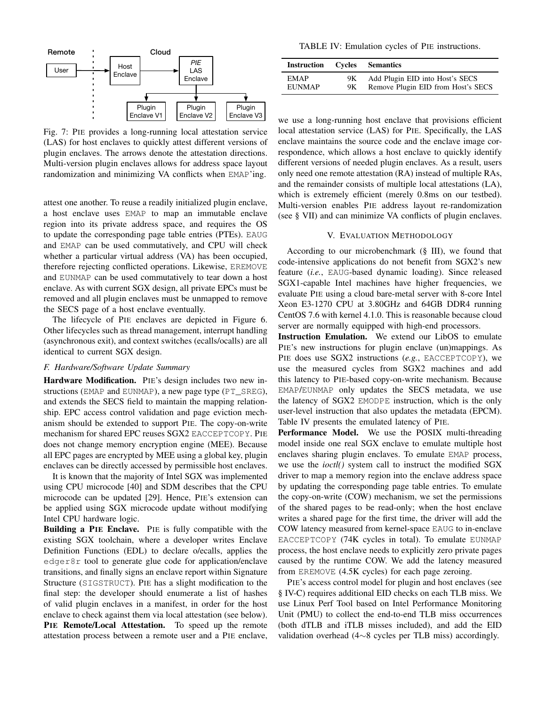<span id="page-7-0"></span>

Fig. 7: PIE provides a long-running local attestation service (LAS) for host enclaves to quickly attest different versions of plugin enclaves. The arrows denote the attestation directions. Multi-version plugin enclaves allows for address space layout randomization and minimizing VA conflicts when EMAP'ing.

attest one another. To reuse a readily initialized plugin enclave, a host enclave uses EMAP to map an immutable enclave region into its private address space, and requires the OS to update the corresponding page table entries (PTEs). EAUG and EMAP can be used commutatively, and CPU will check whether a particular virtual address (VA) has been occupied, therefore rejecting conflicted operations. Likewise, EREMOVE and EUNMAP can be used commutatively to tear down a host enclave. As with current SGX design, all private EPCs must be removed and all plugin enclaves must be unmapped to remove the SECS page of a host enclave eventually.

The lifecycle of PIE enclaves are depicted in [Figure 6.](#page-6-0) Other lifecycles such as thread management, interrupt handling (asynchronous exit), and context switches (ecalls/ocalls) are all identical to current SGX design.

# *F. Hardware/Software Update Summary*

Hardware Modification. PIE's design includes two new instructions (EMAP and EUNMAP), a new page type (PT\_SREG), and extends the SECS field to maintain the mapping relationship. EPC access control validation and page eviction mechanism should be extended to support PIE. The copy-on-write mechanism for shared EPC reuses SGX2 EACCEPTCOPY. PIE does not change memory encryption engine (MEE). Because all EPC pages are encrypted by MEE using a global key, plugin enclaves can be directly accessed by permissible host enclaves.

It is known that the majority of Intel SGX was implemented using CPU microcode [\[40\]](#page-12-32) and SDM describes that the CPU microcode can be updated [\[29\]](#page-12-19). Hence, PIE's extension can be applied using SGX microcode update without modifying Intel CPU hardware logic.

Building a PIE Enclave. PIE is fully compatible with the existing SGX toolchain, where a developer writes Enclave Definition Functions (EDL) to declare o/ecalls, applies the edger8r tool to generate glue code for application/enclave transitions, and finally signs an enclave report within Signature Structure (SIGSTRUCT). PIE has a slight modification to the final step: the developer should enumerate a list of hashes of valid plugin enclaves in a manifest, in order for the host enclave to check against them via local attestation (see below). PIE Remote/Local Attestation. To speed up the remote attestation process between a remote user and a PIE enclave,

<span id="page-7-1"></span>TABLE IV: Emulation cycles of PIE instructions.

| <b>Instruction</b> Cycles |    | <b>Semantics</b>                   |
|---------------------------|----|------------------------------------|
| <b>EMAP</b>               | 9Κ | Add Plugin EID into Host's SECS    |
| <b>EUNMAP</b>             | 9Κ | Remove Plugin EID from Host's SECS |

we use a long-running host enclave that provisions efficient local attestation service (LAS) for PIE. Specifically, the LAS enclave maintains the source code and the enclave image correspondence, which allows a host enclave to quickly identify different versions of needed plugin enclaves. As a result, users only need one remote attestation (RA) instead of multiple RAs, and the remainder consists of multiple local attestations (LA), which is extremely efficient (merely 0.8ms on our testbed). Multi-version enables PIE address layout re-randomization (see [§ VII\)](#page-10-1) and can minimize VA conflicts of plugin enclaves.

#### V. EVALUATION METHODOLOGY

According to our microbenchmark [\(§ III\)](#page-1-2), we found that code-intensive applications do not benefit from SGX2's new feature (*i.e.*, EAUG-based dynamic loading). Since released SGX1-capable Intel machines have higher frequencies, we evaluate PIE using a cloud bare-metal server with 8-core Intel Xeon E3-1270 CPU at 3.80GHz and 64GB DDR4 running CentOS 7.6 with kernel 4.1.0. This is reasonable because cloud server are normally equipped with high-end processors.

Instruction Emulation. We extend our LibOS to emulate PIE's new instructions for plugin enclave (un)mappings. As PIE does use SGX2 instructions (*e.g.*, EACCEPTCOPY), we use the measured cycles from SGX2 machines and add this latency to PIE-based copy-on-write mechanism. Because EMAP/EUNMAP only updates the SECS metadata, we use the latency of SGX2 EMODPE instruction, which is the only user-level instruction that also updates the metadata (EPCM). [Table IV](#page-7-1) presents the emulated latency of PIE.

Performance Model. We use the POSIX multi-threading model inside one real SGX enclave to emulate multiple host enclaves sharing plugin enclaves. To emulate EMAP process, we use the *ioctl()* system call to instruct the modified SGX driver to map a memory region into the enclave address space by updating the corresponding page table entries. To emulate the copy-on-write (COW) mechanism, we set the permissions of the shared pages to be read-only; when the host enclave writes a shared page for the first time, the driver will add the COW latency measured from kernel-space EAUG to in-enclave EACCEPTCOPY (74K cycles in total). To emulate EUNMAP process, the host enclave needs to explicitly zero private pages caused by the runtime COW. We add the latency measured from EREMOVE (4.5K cycles) for each page zeroing.

PIE's access control model for plugin and host enclaves (see [§ IV-C\)](#page-5-0) requires additional EID checks on each TLB miss. We use Linux Perf Tool based on Intel Performance Monitoring Unit (PMU) to collect the end-to-end TLB miss occurrences (both dTLB and iTLB misses included), and add the EID validation overhead (4∼8 cycles per TLB miss) accordingly.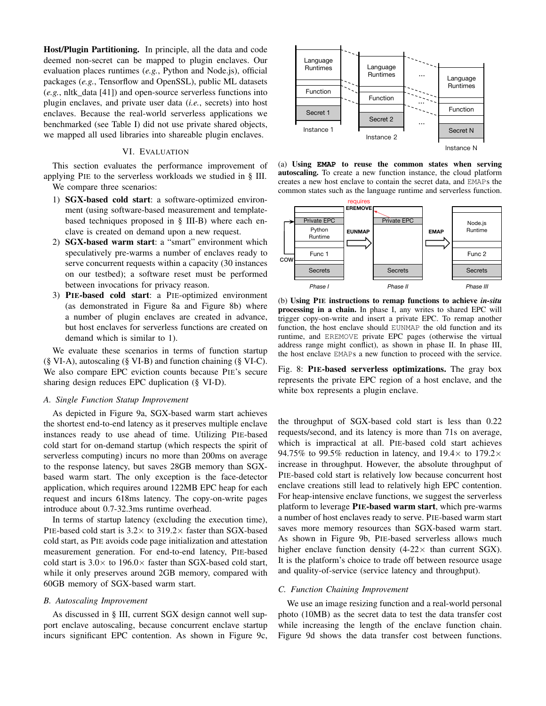Host/Plugin Partitioning. In principle, all the data and code deemed non-secret can be mapped to plugin enclaves. Our evaluation places runtimes (*e.g.*, Python and Node.js), official packages (*e.g.*, Tensorflow and OpenSSL), public ML datasets (*e.g.*, nltk\_data [\[41\]](#page-12-33)) and open-source serverless functions into plugin enclaves, and private user data (*i.e.*, secrets) into host enclaves. Because the real-world serverless applications we benchmarked (see [Table I\)](#page-2-0) did not use private shared objects, we mapped all used libraries into shareable plugin enclaves.

## VI. EVALUATION

This section evaluates the performance improvement of applying PIE to the serverless workloads we studied in [§ III.](#page-1-2) We compare three scenarios:

- 1) SGX-based cold start: a software-optimized environment (using software-based measurement and templatebased techniques proposed in [§ III-B\)](#page-4-1) where each enclave is created on demand upon a new request.
- 2) SGX-based warm start: a "smart" environment which speculatively pre-warms a number of enclaves ready to serve concurrent requests within a capacity (30 instances on our testbed); a software reset must be performed between invocations for privacy reason.
- 3) PIE-based cold start: a PIE-optimized environment (as demonstrated in [Figure 8a](#page-8-0) and [Figure 8b\)](#page-8-0) where a number of plugin enclaves are created in advance, but host enclaves for serverless functions are created on demand which is similar to 1).

We evaluate these scenarios in terms of function startup [\(§ VI-A\)](#page-8-1), autoscaling [\(§ VI-B\)](#page-8-2) and function chaining [\(§ VI-C\)](#page-8-3). We also compare EPC eviction counts because PIE's secure sharing design reduces EPC duplication [\(§ VI-D\)](#page-9-0).

#### <span id="page-8-1"></span>*A. Single Function Statup Improvement*

As depicted in [Figure 9a,](#page-9-1) SGX-based warm start achieves the shortest end-to-end latency as it preserves multiple enclave instances ready to use ahead of time. Utilizing PIE-based cold start for on-demand startup (which respects the spirit of serverless computing) incurs no more than 200ms on average to the response latency, but saves 28GB memory than SGXbased warm start. The only exception is the face-detector application, which requires around 122MB EPC heap for each request and incurs 618ms latency. The copy-on-write pages introduce about 0.7-32.3ms runtime overhead.

In terms of startup latency (excluding the execution time), PIE-based cold start is  $3.2 \times$  to  $319.2 \times$  faster than SGX-based cold start, as PIE avoids code page initialization and attestation measurement generation. For end-to-end latency, PIE-based cold start is  $3.0 \times$  to  $196.0 \times$  faster than SGX-based cold start, while it only preserves around 2GB memory, compared with 60GB memory of SGX-based warm start.

#### <span id="page-8-2"></span>*B. Autoscaling Improvement*

As discussed in [§ III,](#page-1-2) current SGX design cannot well support enclave autoscaling, because concurrent enclave startup incurs significant EPC contention. As shown in [Figure 9c,](#page-9-1)

<span id="page-8-0"></span>

(a) Using **EMAP** to reuse the common states when serving autoscaling. To create a new function instance, the cloud platform creates a new host enclave to contain the secret data, and EMAPs the common states such as the language runtime and serverless function.



(b) Using PIE instructions to remap functions to achieve *in-situ* processing in a chain. In phase I, any writes to shared EPC will trigger copy-on-write and insert a private EPC. To remap another function, the host enclave should EUNMAP the old function and its runtime, and EREMOVE private EPC pages (otherwise the virtual address range might conflict), as shown in phase II. In phase III, the host enclave EMAPs a new function to proceed with the service.

Fig. 8: PIE-based serverless optimizations. The gray box represents the private EPC region of a host enclave, and the white box represents a plugin enclave.

the throughput of SGX-based cold start is less than 0.22 requests/second, and its latency is more than 71s on average, which is impractical at all. PIE-based cold start achieves 94.75% to 99.5% reduction in latency, and  $19.4\times$  to  $179.2\times$ increase in throughput. However, the absolute throughput of PIE-based cold start is relatively low because concurrent host enclave creations still lead to relatively high EPC contention. For heap-intensive enclave functions, we suggest the serverless platform to leverage PIE-based warm start, which pre-warms a number of host enclaves ready to serve. PIE-based warm start saves more memory resources than SGX-based warm start. As shown in [Figure 9b,](#page-9-1) PIE-based serverless allows much higher enclave function density  $(4-22\times$  than current SGX). It is the platform's choice to trade off between resource usage and quality-of-service (service latency and throughput).

#### <span id="page-8-3"></span>*C. Function Chaining Improvement*

We use an image resizing function and a real-world personal photo (10MB) as the secret data to test the data transfer cost while increasing the length of the enclave function chain. [Figure 9d](#page-9-1) shows the data transfer cost between functions.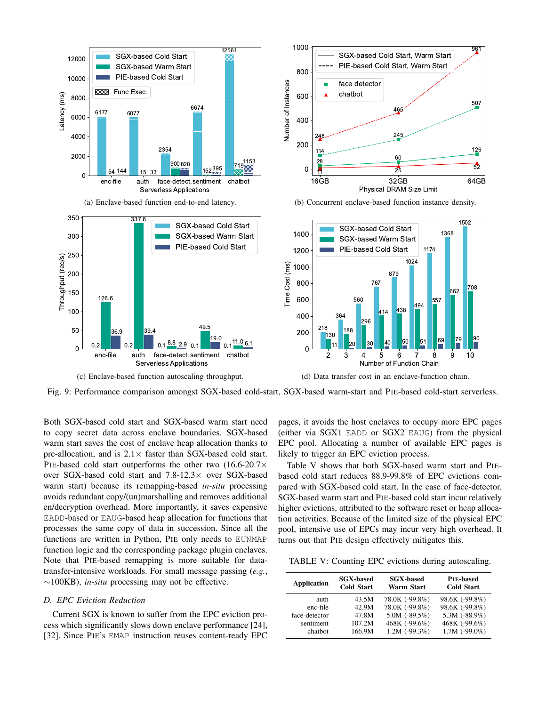<span id="page-9-1"></span>

Fig. 9: Performance comparison amongst SGX-based cold-start, SGX-based warm-start and PIE-based cold-start serverless.

Both SGX-based cold start and SGX-based warm start need to copy secret data across enclave boundaries. SGX-based warm start saves the cost of enclave heap allocation thanks to pre-allocation, and is  $2.1 \times$  faster than SGX-based cold start. PIE-based cold start outperforms the other two (16.6-20.7× over SGX-based cold start and 7.8-12.3× over SGX-based warm start) because its remapping-based *in-situ* processing avoids redundant copy/(un)marshalling and removes additional en/decryption overhead. More importantly, it saves expensive EADD-based or EAUG-based heap allocation for functions that processes the same copy of data in succession. Since all the functions are written in Python, PIE only needs to EUNMAP function logic and the corresponding package plugin enclaves. Note that PIE-based remapping is more suitable for datatransfer-intensive workloads. For small message passing (*e.g.*, ∼100KB), *in-situ* processing may not be effective.

# <span id="page-9-0"></span>*D. EPC Eviction Reduction*

Current SGX is known to suffer from the EPC eviction process which significantly slows down enclave performance [\[24\]](#page-12-12), [\[32\]](#page-12-23). Since PIE's EMAP instruction reuses content-ready EPC pages, it avoids the host enclaves to occupy more EPC pages (either via SGX1 EADD or SGX2 EAUG) from the physical EPC pool. Allocating a number of available EPC pages is likely to trigger an EPC eviction process.

[Table V](#page-9-2) shows that both SGX-based warm start and PIEbased cold start reduces 88.9-99.8% of EPC evictions compared with SGX-based cold start. In the case of face-detector, SGX-based warm start and PIE-based cold start incur relatively higher evictions, attributed to the software reset or heap allocation activities. Because of the limited size of the physical EPC pool, intensive use of EPCs may incur very high overhead. It turns out that PIE design effectively mitigates this.

<span id="page-9-2"></span>TABLE V: Counting EPC evictions during autoscaling.

| <b>Application</b> | <b>SGX-based</b><br><b>Cold Start</b> | <b>SGX-based</b><br>Warm Start | <b>PIE-based</b><br><b>Cold Start</b> |
|--------------------|---------------------------------------|--------------------------------|---------------------------------------|
| auth               | 43.5M                                 | 78.0K (-99.8%)                 | 98.6K (-99.8%)                        |
| enc-file           | 42.9M                                 | 78.0K (-99.8%)                 | 98.6K (-99.8%)                        |
| face-detector      | 47.8M                                 | $5.0M$ (-89.5%)                | 5.3M $(-88.9%)$                       |
| sentiment          | 107.2M                                | 468K (-99.6%)                  | 468K (-99.6%)                         |
| chathot            | 166.9M                                | $1.2M$ (-99.3%)                | $1.7M$ (-99.0%)                       |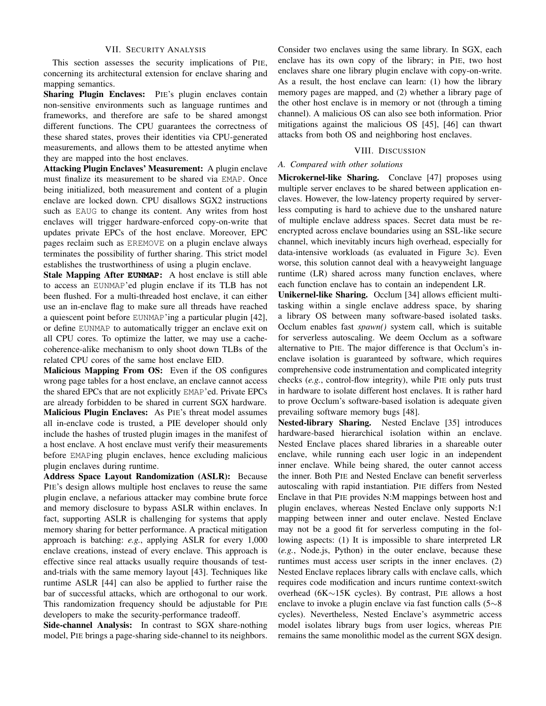## VII. SECURITY ANALYSIS

<span id="page-10-1"></span>This section assesses the security implications of PIE, concerning its architectural extension for enclave sharing and mapping semantics.

Sharing Plugin Enclaves: PIE's plugin enclaves contain non-sensitive environments such as language runtimes and frameworks, and therefore are safe to be shared amongst different functions. The CPU guarantees the correctness of these shared states, proves their identities via CPU-generated measurements, and allows them to be attested anytime when they are mapped into the host enclaves.

Attacking Plugin Enclaves' Measurement: A plugin enclave must finalize its measurement to be shared via EMAP. Once being initialized, both measurement and content of a plugin enclave are locked down. CPU disallows SGX2 instructions such as EAUG to change its content. Any writes from host enclaves will trigger hardware-enforced copy-on-write that updates private EPCs of the host enclave. Moreover, EPC pages reclaim such as EREMOVE on a plugin enclave always terminates the possibility of further sharing. This strict model establishes the trustworthiness of using a plugin enclave.

Stale Mapping After **EUNMAP**: A host enclave is still able to access an EUNMAP'ed plugin enclave if its TLB has not been flushed. For a multi-threaded host enclave, it can either use an in-enclave flag to make sure all threads have reached a quiescent point before EUNMAP'ing a particular plugin [\[42\]](#page-12-34), or define EUNMAP to automatically trigger an enclave exit on all CPU cores. To optimize the latter, we may use a cachecoherence-alike mechanism to only shoot down TLBs of the related CPU cores of the same host enclave EID.

Malicious Mapping From OS: Even if the OS configures wrong page tables for a host enclave, an enclave cannot access the shared EPCs that are not explicitly EMAP'ed. Private EPCs are already forbidden to be shared in current SGX hardware. Malicious Plugin Enclaves: As PIE's threat model assumes all in-enclave code is trusted, a PIE developer should only include the hashes of trusted plugin images in the manifest of a host enclave. A host enclave must verify their measurements before EMAPing plugin enclaves, hence excluding malicious plugin enclaves during runtime.

Address Space Layout Randomization (ASLR): Because PIE's design allows multiple host enclaves to reuse the same plugin enclave, a nefarious attacker may combine brute force and memory disclosure to bypass ASLR within enclaves. In fact, supporting ASLR is challenging for systems that apply memory sharing for better performance. A practical mitigation approach is batching: *e.g.*, applying ASLR for every 1,000 enclave creations, instead of every enclave. This approach is effective since real attacks usually require thousands of testand-trials with the same memory layout [\[43\]](#page-12-35). Techniques like runtime ASLR [\[44\]](#page-12-36) can also be applied to further raise the bar of successful attacks, which are orthogonal to our work. This randomization frequency should be adjustable for PIE developers to make the security-performance tradeoff.

Side-channel Analysis: In contrast to SGX share-nothing model, PIE brings a page-sharing side-channel to its neighbors.

Consider two enclaves using the same library. In SGX, each enclave has its own copy of the library; in PIE, two host enclaves share one library plugin enclave with copy-on-write. As a result, the host enclave can learn: (1) how the library memory pages are mapped, and (2) whether a library page of the other host enclave is in memory or not (through a timing channel). A malicious OS can also see both information. Prior mitigations against the malicious OS [\[45\]](#page-12-37), [\[46\]](#page-12-38) can thwart attacks from both OS and neighboring host enclaves.

## VIII. DISCUSSION

#### <span id="page-10-0"></span>*A. Compared with other solutions*

Microkernel-like Sharing. Conclave [\[47\]](#page-12-39) proposes using multiple server enclaves to be shared between application enclaves. However, the low-latency property required by serverless computing is hard to achieve due to the unshared nature of multiple enclave address spaces. Secret data must be reencrypted across enclave boundaries using an SSL-like secure channel, which inevitably incurs high overhead, especially for data-intensive workloads (as evaluated in [Figure 3c\)](#page-3-0). Even worse, this solution cannot deal with a heavyweight language runtime (LR) shared across many function enclaves, where each function enclave has to contain an independent LR.

Unikernel-like Sharing. Occlum [\[34\]](#page-12-26) allows efficient multitasking within a single enclave address space, by sharing a library OS between many software-based isolated tasks. Occlum enables fast *spawn()* system call, which is suitable for serverless autoscaling. We deem Occlum as a software alternative to PIE. The major difference is that Occlum's inenclave isolation is guaranteed by software, which requires comprehensive code instrumentation and complicated integrity checks (*e.g.*, control-flow integrity), while PIE only puts trust in hardware to isolate different host enclaves. It is rather hard to prove Occlum's software-based isolation is adequate given prevailing software memory bugs [\[48\]](#page-12-40).

Nested-library Sharing. Nested Enclave [\[35\]](#page-12-27) introduces hardware-based hierarchical isolation within an enclave. Nested Enclave places shared libraries in a shareable outer enclave, while running each user logic in an independent inner enclave. While being shared, the outer cannot access the inner. Both PIE and Nested Enclave can benefit serverless autoscaling with rapid instantiation. PIE differs from Nested Enclave in that PIE provides N:M mappings between host and plugin enclaves, whereas Nested Enclave only supports N:1 mapping between inner and outer enclave. Nested Enclave may not be a good fit for serverless computing in the following aspects: (1) It is impossible to share interpreted LR (*e.g.*, Node.js, Python) in the outer enclave, because these runtimes must access user scripts in the inner enclaves. (2) Nested Enclave replaces library calls with enclave calls, which requires code modification and incurs runtime context-switch overhead (6K∼15K cycles). By contrast, PIE allows a host enclave to invoke a plugin enclave via fast function calls (5∼8 cycles). Nevertheless, Nested Enclave's asymmetric access model isolates library bugs from user logics, whereas PIE remains the same monolithic model as the current SGX design.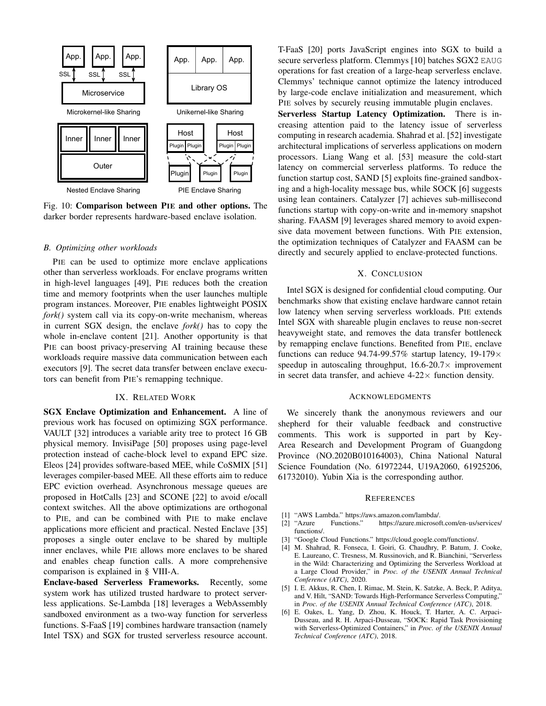

Fig. 10: Comparison between PIE and other options. The darker border represents hardware-based enclave isolation.

#### <span id="page-11-5"></span>*B. Optimizing other workloads*

PIE can be used to optimize more enclave applications other than serverless workloads. For enclave programs written in high-level languages [\[49\]](#page-12-41), PIE reduces both the creation time and memory footprints when the user launches multiple program instances. Moreover, PIE enables lightweight POSIX *fork()* system call via its copy-on-write mechanism, whereas in current SGX design, the enclave *fork()* has to copy the whole in-enclave content [\[21\]](#page-12-10). Another opportunity is that PIE can boost privacy-preserving AI training because these workloads require massive data communication between each executors [\[9\]](#page-12-15). The secret data transfer between enclave executors can benefit from PIE's remapping technique.

# IX. RELATED WORK

SGX Enclave Optimization and Enhancement. A line of previous work has focused on optimizing SGX performance. VAULT [\[32\]](#page-12-23) introduces a variable arity tree to protect 16 GB physical memory. InvisiPage [\[50\]](#page-12-42) proposes using page-level protection instead of cache-block level to expand EPC size. Eleos [\[24\]](#page-12-12) provides software-based MEE, while CoSMIX [\[51\]](#page-12-43) leverages compiler-based MEE. All these efforts aim to reduce EPC eviction overhead. Asynchronous message queues are proposed in HotCalls [\[23\]](#page-12-22) and SCONE [\[22\]](#page-12-11) to avoid e/ocall context switches. All the above optimizations are orthogonal to PIE, and can be combined with PIE to make enclave applications more efficient and practical. Nested Enclave [\[35\]](#page-12-27) proposes a single outer enclave to be shared by multiple inner enclaves, while PIE allows more enclaves to be shared and enables cheap function calls. A more comprehensive comparison is explained in [§ VIII-A.](#page-10-0)

Enclave-based Serverless Frameworks. Recently, some system work has utilized trusted hardware to protect serverless applications. Se-Lambda [\[18\]](#page-12-8) leverages a WebAssembly sandboxed environment as a two-way function for serverless functions. S-FaaS [\[19\]](#page-12-44) combines hardware transaction (namely Intel TSX) and SGX for trusted serverless resource account. T-FaaS [\[20\]](#page-12-9) ports JavaScript engines into SGX to build a secure serverless platform. Clemmys [\[10\]](#page-12-0) batches SGX2 EAUG operations for fast creation of a large-heap serverless enclave. Clemmys' technique cannot optimize the latency introduced by large-code enclave initialization and measurement, which PIE solves by securely reusing immutable plugin enclaves.

Serverless Startup Latency Optimization. There is increasing attention paid to the latency issue of serverless computing in research academia. Shahrad et al. [\[52\]](#page-12-45) investigate architectural implications of serverless applications on modern processors. Liang Wang et al. [\[53\]](#page-12-46) measure the cold-start latency on commercial serverless platforms. To reduce the function startup cost, SAND [\[5\]](#page-11-4) exploits fine-grained sandboxing and a high-locality message bus, while SOCK [\[6\]](#page-11-6) suggests using lean containers. Catalyzer [\[7\]](#page-12-14) achieves sub-millisecond functions startup with copy-on-write and in-memory snapshot sharing. FAASM [\[9\]](#page-12-15) leverages shared memory to avoid expensive data movement between functions. With PIE extension, the optimization techniques of Catalyzer and FAASM can be directly and securely applied to enclave-protected functions.

# X. CONCLUSION

Intel SGX is designed for confidential cloud computing. Our benchmarks show that existing enclave hardware cannot retain low latency when serving serverless workloads. PIE extends Intel SGX with shareable plugin enclaves to reuse non-secret heavyweight state, and removes the data transfer bottleneck by remapping enclave functions. Benefited from PIE, enclave functions can reduce 94.74-99.57% startup latency,  $19-179 \times$ speedup in autoscaling throughput,  $16.6-20.7\times$  improvement in secret data transfer, and achieve  $4-22 \times$  function density.

#### ACKNOWLEDGMENTS

We sincerely thank the anonymous reviewers and our shepherd for their valuable feedback and constructive comments. This work is supported in part by Key-Area Research and Development Program of Guangdong Province (NO.2020B010164003), China National Natural Science Foundation (No. 61972244, U19A2060, 61925206, 61732010). Yubin Xia is the corresponding author.

#### **REFERENCES**

- 
- <span id="page-11-1"></span><span id="page-11-0"></span>[1] "AWS Lambda." [https://aws.amazon.com/lambda/.](https://aws.amazon.com/lambda/)<br>[2] "Azure Functions." https://azure.microsof [2] "Azure Functions." [https://azure.microsoft.com/en-us/services/](https://azure.microsoft.com/en-us/services/functions/) [functions/.](https://azure.microsoft.com/en-us/services/functions/)
- <span id="page-11-2"></span>[3] "Google Cloud Functions." [https://cloud.google.com/functions/.](https://cloud.google.com/functions/)
- <span id="page-11-3"></span>[4] M. Shahrad, R. Fonseca, I. Goiri, G. Chaudhry, P. Batum, J. Cooke, E. Laureano, C. Tresness, M. Russinovich, and R. Bianchini, "Serverless in the Wild: Characterizing and Optimizing the Serverless Workload at a Large Cloud Provider," in *Proc. of the USENIX Annual Technical Conference (ATC)*, 2020.
- <span id="page-11-4"></span>[5] I. E. Akkus, R. Chen, I. Rimac, M. Stein, K. Satzke, A. Beck, P. Aditya, and V. Hilt, "SAND: Towards High-Performance Serverless Computing," in *Proc. of the USENIX Annual Technical Conference (ATC)*, 2018.
- <span id="page-11-6"></span>[6] E. Oakes, L. Yang, D. Zhou, K. Houck, T. Harter, A. C. Arpaci-Dusseau, and R. H. Arpaci-Dusseau, "SOCK: Rapid Task Provisioning with Serverless-Optimized Containers," in *Proc. of the USENIX Annual Technical Conference (ATC)*, 2018.